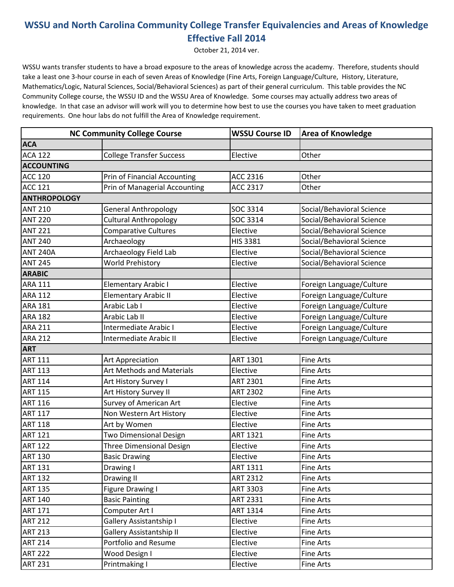## **WSSU and North Carolina Community College Transfer Equivalencies and Areas of Knowledge Effective Fall 2014**

October 21, 2014 ver.

WSSU wants transfer students to have a broad exposure to the areas of knowledge across the academy. Therefore, students should take a least one 3-hour course in each of seven Areas of Knowledge (Fine Arts, Foreign Language/Culture, History, Literature, Mathematics/Logic, Natural Sciences, Social/Behavioral Sciences) as part of their general curriculum. This table provides the NC Community College course, the WSSU ID and the WSSU Area of Knowledge. Some courses may actually address two areas of knowledge. In that case an advisor will work will you to determine how best to use the courses you have taken to meet graduation requirements. One hour labs do not fulfill the Area of Knowledge requirement.

|                     | <b>NC Community College Course</b>  | <b>WSSU Course ID</b> | <b>Area of Knowledge</b>  |  |  |  |
|---------------------|-------------------------------------|-----------------------|---------------------------|--|--|--|
| <b>ACA</b>          |                                     |                       |                           |  |  |  |
| <b>ACA 122</b>      | <b>College Transfer Success</b>     | Elective              | Other                     |  |  |  |
| <b>ACCOUNTING</b>   |                                     |                       |                           |  |  |  |
| <b>ACC 120</b>      | <b>Prin of Financial Accounting</b> | ACC 2316              | Other                     |  |  |  |
| <b>ACC 121</b>      | Prin of Managerial Accounting       | ACC 2317              | Other                     |  |  |  |
| <b>ANTHROPOLOGY</b> |                                     |                       |                           |  |  |  |
| <b>ANT 210</b>      | <b>General Anthropology</b>         | SOC 3314              | Social/Behavioral Science |  |  |  |
| <b>ANT 220</b>      | <b>Cultural Anthropology</b>        | SOC 3314              | Social/Behavioral Science |  |  |  |
| <b>ANT 221</b>      | <b>Comparative Cultures</b>         | Elective              | Social/Behavioral Science |  |  |  |
| <b>ANT 240</b>      | Archaeology                         | HIS 3381              | Social/Behavioral Science |  |  |  |
| <b>ANT 240A</b>     | Archaeology Field Lab               | Elective              | Social/Behavioral Science |  |  |  |
| <b>ANT 245</b>      | <b>World Prehistory</b>             | Elective              | Social/Behavioral Science |  |  |  |
| <b>ARABIC</b>       |                                     |                       |                           |  |  |  |
| <b>ARA 111</b>      | <b>Elementary Arabic I</b>          | Elective              | Foreign Language/Culture  |  |  |  |
| <b>ARA 112</b>      | <b>Elementary Arabic II</b>         | Elective              | Foreign Language/Culture  |  |  |  |
| <b>ARA 181</b>      | Arabic Lab I                        | Elective              | Foreign Language/Culture  |  |  |  |
| <b>ARA 182</b>      | Arabic Lab II                       | Elective              | Foreign Language/Culture  |  |  |  |
| <b>ARA 211</b>      | Intermediate Arabic I               | Elective              | Foreign Language/Culture  |  |  |  |
| <b>ARA 212</b>      | Intermediate Arabic II              | Elective              | Foreign Language/Culture  |  |  |  |
| <b>ART</b>          |                                     |                       |                           |  |  |  |
| <b>ART 111</b>      | <b>Art Appreciation</b>             | <b>ART 1301</b>       | <b>Fine Arts</b>          |  |  |  |
| <b>ART 113</b>      | <b>Art Methods and Materials</b>    | Elective              | <b>Fine Arts</b>          |  |  |  |
| <b>ART 114</b>      | Art History Survey I                | <b>ART 2301</b>       | <b>Fine Arts</b>          |  |  |  |
| <b>ART 115</b>      | Art History Survey II               | <b>ART 2302</b>       | <b>Fine Arts</b>          |  |  |  |
| <b>ART 116</b>      | Survey of American Art              | Elective              | <b>Fine Arts</b>          |  |  |  |
| <b>ART 117</b>      | Non Western Art History             | Elective              | <b>Fine Arts</b>          |  |  |  |
| <b>ART 118</b>      | Art by Women                        | Elective              | <b>Fine Arts</b>          |  |  |  |
| <b>ART 121</b>      | Two Dimensional Design              | <b>ART 1321</b>       | <b>Fine Arts</b>          |  |  |  |
| <b>ART 122</b>      | <b>Three Dimensional Design</b>     | Elective              | Fine Arts                 |  |  |  |
| <b>ART 130</b>      | <b>Basic Drawing</b>                | Elective              | <b>Fine Arts</b>          |  |  |  |
| <b>ART 131</b>      | Drawing I                           | ART 1311              | Fine Arts                 |  |  |  |
| <b>ART 132</b>      | Drawing II                          | ART 2312              | Fine Arts                 |  |  |  |
| <b>ART 135</b>      | Figure Drawing I                    | <b>ART 3303</b>       | Fine Arts                 |  |  |  |
| <b>ART 140</b>      | <b>Basic Painting</b>               | ART 2331              | Fine Arts                 |  |  |  |
| <b>ART 171</b>      | Computer Art I                      | ART 1314              | Fine Arts                 |  |  |  |
| <b>ART 212</b>      | <b>Gallery Assistantship I</b>      | Elective              | Fine Arts                 |  |  |  |
| <b>ART 213</b>      | <b>Gallery Assistantship II</b>     | Elective              | Fine Arts                 |  |  |  |
| <b>ART 214</b>      | Portfolio and Resume                | Elective              | Fine Arts                 |  |  |  |
| <b>ART 222</b>      | Wood Design I                       | Elective              | Fine Arts                 |  |  |  |
| <b>ART 231</b>      | Printmaking I                       | Elective              | Fine Arts                 |  |  |  |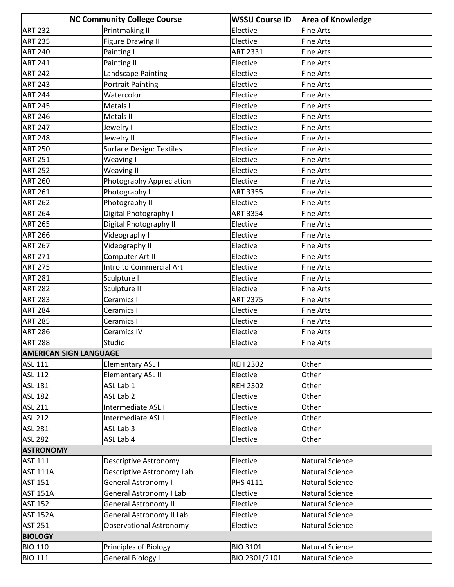|                               | <b>NC Community College Course</b> | <b>WSSU Course ID</b> | <b>Area of Knowledge</b> |
|-------------------------------|------------------------------------|-----------------------|--------------------------|
| <b>ART 232</b>                | Printmaking II                     | Elective              | <b>Fine Arts</b>         |
| <b>ART 235</b>                | <b>Figure Drawing II</b>           | Elective              | <b>Fine Arts</b>         |
| <b>ART 240</b>                | Painting I                         | <b>ART 2331</b>       | <b>Fine Arts</b>         |
| <b>ART 241</b>                | Painting II                        | Elective              | <b>Fine Arts</b>         |
| <b>ART 242</b>                | Landscape Painting                 | Elective              | Fine Arts                |
| <b>ART 243</b>                | <b>Portrait Painting</b>           | Elective              | <b>Fine Arts</b>         |
| <b>ART 244</b>                | Watercolor                         | Elective              | <b>Fine Arts</b>         |
| <b>ART 245</b>                | Metals I                           | Elective              | <b>Fine Arts</b>         |
| <b>ART 246</b>                | Metals II                          | Elective              | <b>Fine Arts</b>         |
| <b>ART 247</b>                | Jewelry I                          | Elective              | Fine Arts                |
| <b>ART 248</b>                | Jewelry II                         | Elective              | <b>Fine Arts</b>         |
| <b>ART 250</b>                | <b>Surface Design: Textiles</b>    | Elective              | <b>Fine Arts</b>         |
| <b>ART 251</b>                | Weaving I                          | Elective              | <b>Fine Arts</b>         |
| <b>ART 252</b>                | <b>Weaving II</b>                  | Elective              | <b>Fine Arts</b>         |
| <b>ART 260</b>                | Photography Appreciation           | Elective              | Fine Arts                |
| <b>ART 261</b>                | Photography I                      | <b>ART 3355</b>       | <b>Fine Arts</b>         |
| <b>ART 262</b>                | Photography II                     | Elective              | Fine Arts                |
| <b>ART 264</b>                | Digital Photography I              | <b>ART 3354</b>       | <b>Fine Arts</b>         |
| <b>ART 265</b>                | Digital Photography II             | Elective              | Fine Arts                |
| <b>ART 266</b>                | Videography I                      | Elective              | <b>Fine Arts</b>         |
| <b>ART 267</b>                | Videography II                     | Elective              | <b>Fine Arts</b>         |
| <b>ART 271</b>                | Computer Art II                    | Elective              | Fine Arts                |
| <b>ART 275</b>                | Intro to Commercial Art            | Elective              | <b>Fine Arts</b>         |
| <b>ART 281</b>                | Sculpture I                        | Elective              | Fine Arts                |
| <b>ART 282</b>                | Sculpture II                       | Elective              | Fine Arts                |
| <b>ART 283</b>                | Ceramics I                         | <b>ART 2375</b>       | <b>Fine Arts</b>         |
| <b>ART 284</b>                | Ceramics II                        | Elective              | <b>Fine Arts</b>         |
| <b>ART 285</b>                | Ceramics III                       | Elective              | Fine Arts                |
| <b>ART 286</b>                | Ceramics IV                        | Elective              | Fine Arts                |
| <b>ART 288</b>                | Studio                             | Elective              | <b>Fine Arts</b>         |
| <b>AMERICAN SIGN LANGUAGE</b> |                                    |                       |                          |
| <b>ASL 111</b>                | <b>Elementary ASL I</b>            | <b>REH 2302</b>       | Other                    |
| <b>ASL 112</b>                | <b>Elementary ASL II</b>           | Elective              | Other                    |
| <b>ASL 181</b>                | ASL Lab 1                          | <b>REH 2302</b>       | Other                    |
| <b>ASL 182</b>                | ASL Lab 2                          | Elective              | Other                    |
| ASL 211                       | Intermediate ASL I                 | Elective              | Other                    |
| <b>ASL 212</b>                | Intermediate ASL II                | Elective              | Other                    |
| <b>ASL 281</b>                | ASL Lab 3                          | Elective              | Other                    |
| <b>ASL 282</b>                | ASL Lab 4                          | Elective              | Other                    |
| <b>ASTRONOMY</b>              |                                    |                       |                          |
| <b>AST 111</b>                | Descriptive Astronomy              | Elective              | <b>Natural Science</b>   |
| <b>AST 111A</b>               | Descriptive Astronomy Lab          | Elective              | Natural Science          |
| <b>AST 151</b>                | <b>General Astronomy I</b>         | PHS 4111              | <b>Natural Science</b>   |
| <b>AST 151A</b>               | General Astronomy I Lab            | Elective              | Natural Science          |
| <b>AST 152</b>                | <b>General Astronomy II</b>        | Elective              | <b>Natural Science</b>   |
| <b>AST 152A</b>               | General Astronomy II Lab           | Elective              | <b>Natural Science</b>   |
| <b>AST 251</b>                | <b>Observational Astronomy</b>     | Elective              | Natural Science          |
| <b>BIOLOGY</b>                |                                    |                       |                          |
| <b>BIO 110</b>                | Principles of Biology              | <b>BIO 3101</b>       | Natural Science          |
| <b>BIO 111</b>                | General Biology I                  | BIO 2301/2101         | Natural Science          |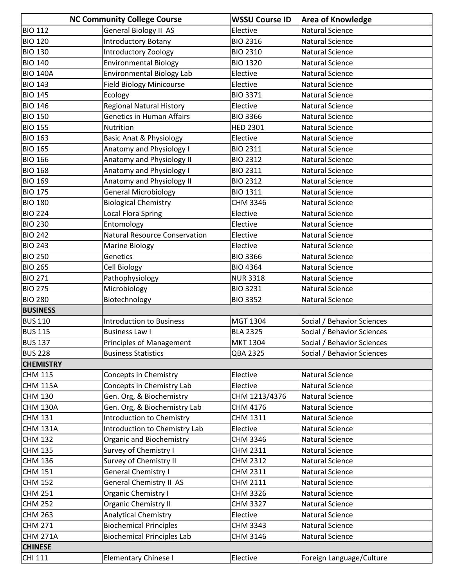|                  | <b>NC Community College Course</b>   | <b>WSSU Course ID</b> | <b>Area of Knowledge</b>   |
|------------------|--------------------------------------|-----------------------|----------------------------|
| <b>BIO 112</b>   | General Biology II AS                | Elective              | <b>Natural Science</b>     |
| <b>BIO 120</b>   | <b>Introductory Botany</b>           | <b>BIO 2316</b>       | <b>Natural Science</b>     |
| <b>BIO 130</b>   | Introductory Zoology                 | <b>BIO 2310</b>       | <b>Natural Science</b>     |
| <b>BIO 140</b>   | <b>Environmental Biology</b>         | <b>BIO 1320</b>       | <b>Natural Science</b>     |
| <b>BIO 140A</b>  | <b>Environmental Biology Lab</b>     | Elective              | <b>Natural Science</b>     |
| <b>BIO 143</b>   | <b>Field Biology Minicourse</b>      | Elective              | <b>Natural Science</b>     |
| <b>BIO 145</b>   | Ecology                              | <b>BIO 3371</b>       | <b>Natural Science</b>     |
| <b>BIO 146</b>   | <b>Regional Natural History</b>      | Elective              | <b>Natural Science</b>     |
| <b>BIO 150</b>   | <b>Genetics in Human Affairs</b>     | <b>BIO 3366</b>       | <b>Natural Science</b>     |
| <b>BIO 155</b>   | Nutrition                            | <b>HED 2301</b>       | <b>Natural Science</b>     |
| <b>BIO 163</b>   | <b>Basic Anat &amp; Physiology</b>   | Elective              | <b>Natural Science</b>     |
| <b>BIO 165</b>   | Anatomy and Physiology I             | <b>BIO 2311</b>       | <b>Natural Science</b>     |
| <b>BIO 166</b>   | Anatomy and Physiology II            | <b>BIO 2312</b>       | <b>Natural Science</b>     |
| <b>BIO 168</b>   | Anatomy and Physiology I             | <b>BIO 2311</b>       | <b>Natural Science</b>     |
| <b>BIO 169</b>   | Anatomy and Physiology II            | <b>BIO 2312</b>       | <b>Natural Science</b>     |
| <b>BIO 175</b>   | <b>General Microbiology</b>          | <b>BIO 1311</b>       | <b>Natural Science</b>     |
| <b>BIO 180</b>   | <b>Biological Chemistry</b>          | CHM 3346              | <b>Natural Science</b>     |
| <b>BIO 224</b>   | <b>Local Flora Spring</b>            | Elective              | <b>Natural Science</b>     |
| <b>BIO 230</b>   | Entomology                           | Elective              | Natural Science            |
| <b>BIO 242</b>   | <b>Natural Resource Conservation</b> | Elective              | <b>Natural Science</b>     |
| <b>BIO 243</b>   | Marine Biology                       | Elective              | <b>Natural Science</b>     |
| <b>BIO 250</b>   | Genetics                             | <b>BIO 3366</b>       | <b>Natural Science</b>     |
| <b>BIO 265</b>   | <b>Cell Biology</b>                  | <b>BIO 4364</b>       | <b>Natural Science</b>     |
| <b>BIO 271</b>   | Pathophysiology                      | <b>NUR 3318</b>       | <b>Natural Science</b>     |
| <b>BIO 275</b>   | Microbiology                         | <b>BIO 3231</b>       | <b>Natural Science</b>     |
| <b>BIO 280</b>   | Biotechnology                        | <b>BIO 3352</b>       | <b>Natural Science</b>     |
| <b>BUSINESS</b>  |                                      |                       |                            |
| <b>BUS 110</b>   | <b>Introduction to Business</b>      | MGT 1304              | Social / Behavior Sciences |
| <b>BUS 115</b>   | <b>Business Law I</b>                | <b>BLA 2325</b>       | Social / Behavior Sciences |
| <b>BUS 137</b>   | <b>Principles of Management</b>      | <b>MKT 1304</b>       | Social / Behavior Sciences |
| <b>BUS 228</b>   | <b>Business Statistics</b>           | QBA 2325              | Social / Behavior Sciences |
| <b>CHEMISTRY</b> |                                      |                       |                            |
| <b>CHM 115</b>   | Concepts in Chemistry                | Elective              | Natural Science            |
| <b>CHM 115A</b>  | Concepts in Chemistry Lab            | Elective              | Natural Science            |
| <b>CHM 130</b>   | Gen. Org, & Biochemistry             | CHM 1213/4376         | <b>Natural Science</b>     |
| <b>CHM 130A</b>  | Gen. Org, & Biochemistry Lab         | CHM 4176              | Natural Science            |
| <b>CHM 131</b>   | Introduction to Chemistry            | CHM 1311              | <b>Natural Science</b>     |
| <b>CHM 131A</b>  | Introduction to Chemistry Lab        | Elective              | <b>Natural Science</b>     |
| <b>CHM 132</b>   | <b>Organic and Biochemistry</b>      | CHM 3346              | Natural Science            |
| <b>CHM 135</b>   | Survey of Chemistry I                | CHM 2311              | Natural Science            |
| <b>CHM 136</b>   | Survey of Chemistry II               | CHM 2312              | <b>Natural Science</b>     |
| <b>CHM 151</b>   | General Chemistry I                  | CHM 2311              | <b>Natural Science</b>     |
| <b>CHM 152</b>   | General Chemistry II AS              | CHM 2111              | <b>Natural Science</b>     |
| <b>CHM 251</b>   | Organic Chemistry I                  | CHM 3326              | <b>Natural Science</b>     |
| <b>CHM 252</b>   | <b>Organic Chemistry II</b>          | CHM 3327              | Natural Science            |
| <b>CHM 263</b>   | <b>Analytical Chemistry</b>          | Elective              | <b>Natural Science</b>     |
| <b>CHM 271</b>   | <b>Biochemical Principles</b>        | CHM 3343              | <b>Natural Science</b>     |
| <b>CHM 271A</b>  | <b>Biochemical Principles Lab</b>    | CHM 3146              | <b>Natural Science</b>     |
| <b>CHINESE</b>   |                                      |                       |                            |
| <b>CHI 111</b>   | <b>Elementary Chinese I</b>          | Elective              | Foreign Language/Culture   |
|                  |                                      |                       |                            |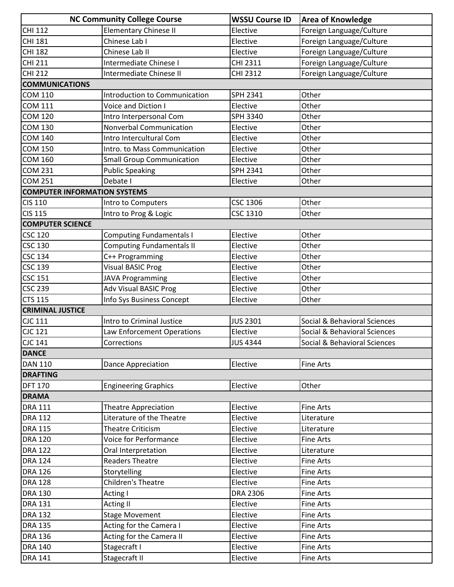|                                     | <b>NC Community College Course</b> | <b>WSSU Course ID</b> | <b>Area of Knowledge</b>     |
|-------------------------------------|------------------------------------|-----------------------|------------------------------|
| CHI 112                             | <b>Elementary Chinese II</b>       | Elective              | Foreign Language/Culture     |
| <b>CHI 181</b>                      | Chinese Lab I                      | Elective              | Foreign Language/Culture     |
| <b>CHI 182</b>                      | Chinese Lab II                     | Elective              | Foreign Language/Culture     |
| <b>CHI 211</b>                      | Intermediate Chinese I             | CHI 2311              | Foreign Language/Culture     |
| <b>CHI 212</b>                      | Intermediate Chinese II            | CHI 2312              | Foreign Language/Culture     |
| <b>COMMUNICATIONS</b>               |                                    |                       |                              |
| <b>COM 110</b>                      | Introduction to Communication      | SPH 2341              | Other                        |
| <b>COM 111</b>                      | Voice and Diction I                | Elective              | Other                        |
| <b>COM 120</b>                      | Intro Interpersonal Com            | SPH 3340              | Other                        |
| <b>COM 130</b>                      | Nonverbal Communication            | Elective              | Other                        |
| <b>COM 140</b>                      | Intro Intercultural Com            | Elective              | Other                        |
| <b>COM 150</b>                      | Intro. to Mass Communication       | Elective              | Other                        |
| <b>COM 160</b>                      | <b>Small Group Communication</b>   | Elective              | Other                        |
| <b>COM 231</b>                      | <b>Public Speaking</b>             | <b>SPH 2341</b>       | Other                        |
| <b>COM 251</b>                      | Debate I                           | Elective              | Other                        |
| <b>COMPUTER INFORMATION SYSTEMS</b> |                                    |                       |                              |
| <b>CIS 110</b>                      | Intro to Computers                 | <b>CSC 1306</b>       | Other                        |
| <b>CIS 115</b>                      | Intro to Prog & Logic              | CSC 1310              | Other                        |
| <b>COMPUTER SCIENCE</b>             |                                    |                       |                              |
| <b>CSC 120</b>                      | <b>Computing Fundamentals I</b>    | Elective              | Other                        |
| <b>CSC 130</b>                      | <b>Computing Fundamentals II</b>   | Elective              | Other                        |
| <b>CSC 134</b>                      | C++ Programming                    | Elective              | Other                        |
| <b>CSC 139</b>                      | <b>Visual BASIC Prog</b>           | Elective              | Other                        |
| <b>CSC 151</b>                      | <b>JAVA Programming</b>            | Elective              | Other                        |
| <b>CSC 239</b>                      | <b>Adv Visual BASIC Prog</b>       | Elective              | Other                        |
| <b>CTS 115</b>                      | Info Sys Business Concept          | Elective              | Other                        |
| <b>CRIMINAL JUSTICE</b>             |                                    |                       |                              |
| <b>CJC 111</b>                      | Intro to Criminal Justice          | <b>JUS 2301</b>       | Social & Behavioral Sciences |
| CJC 121                             | Law Enforcement Operations         | Elective              | Social & Behavioral Sciences |
| <b>CJC 141</b>                      | Corrections                        | <b>JUS 4344</b>       | Social & Behavioral Sciences |
| <b>DANCE</b>                        |                                    |                       |                              |
| <b>DAN 110</b>                      | <b>Dance Appreciation</b>          | Elective              | <b>Fine Arts</b>             |
| <b>DRAFTING</b>                     |                                    |                       |                              |
| <b>DFT 170</b>                      | <b>Engineering Graphics</b>        | Elective              | Other                        |
| <b>DRAMA</b>                        |                                    |                       |                              |
| <b>DRA 111</b>                      | <b>Theatre Appreciation</b>        | Elective              | <b>Fine Arts</b>             |
| <b>DRA 112</b>                      | Literature of the Theatre          | Elective              | Literature                   |
| <b>DRA 115</b>                      | <b>Theatre Criticism</b>           | Elective              | Literature                   |
| <b>DRA 120</b>                      | <b>Voice for Performance</b>       | Elective              | <b>Fine Arts</b>             |
| <b>DRA 122</b>                      | Oral Interpretation                | Elective              | Literature                   |
| <b>DRA 124</b>                      | <b>Readers Theatre</b>             | Elective              | <b>Fine Arts</b>             |
| <b>DRA 126</b>                      | Storytelling                       | Elective              | <b>Fine Arts</b>             |
| <b>DRA 128</b>                      | Children's Theatre                 | Elective              | <b>Fine Arts</b>             |
| <b>DRA 130</b>                      | Acting I                           | <b>DRA 2306</b>       | <b>Fine Arts</b>             |
| <b>DRA 131</b>                      | <b>Acting II</b>                   | Elective              | <b>Fine Arts</b>             |
| <b>DRA 132</b>                      | <b>Stage Movement</b>              | Elective              | <b>Fine Arts</b>             |
| <b>DRA 135</b>                      | Acting for the Camera I            | Elective              | <b>Fine Arts</b>             |
| <b>DRA 136</b>                      | Acting for the Camera II           | Elective              | <b>Fine Arts</b>             |
| <b>DRA 140</b>                      | Stagecraft I                       | Elective              | <b>Fine Arts</b>             |
| <b>DRA 141</b>                      | Stagecraft II                      | Elective              | <b>Fine Arts</b>             |
|                                     |                                    |                       |                              |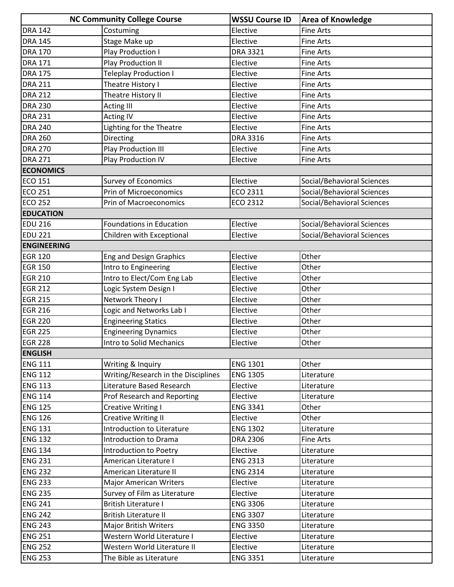|                    | <b>NC Community College Course</b>  | <b>WSSU Course ID</b> | <b>Area of Knowledge</b>   |
|--------------------|-------------------------------------|-----------------------|----------------------------|
| <b>DRA 142</b>     | Costuming                           | Elective              | <b>Fine Arts</b>           |
| <b>DRA 145</b>     | Stage Make up                       | Elective              | <b>Fine Arts</b>           |
| <b>DRA 170</b>     | Play Production I                   | <b>DRA 3321</b>       | <b>Fine Arts</b>           |
| <b>DRA 171</b>     | <b>Play Production II</b>           | Elective              | <b>Fine Arts</b>           |
| <b>DRA 175</b>     | <b>Teleplay Production I</b>        | Elective              | <b>Fine Arts</b>           |
| <b>DRA 211</b>     | Theatre History I                   | Elective              | <b>Fine Arts</b>           |
| <b>DRA 212</b>     | Theatre History II                  | Elective              | <b>Fine Arts</b>           |
| <b>DRA 230</b>     | <b>Acting III</b>                   | Elective              | <b>Fine Arts</b>           |
| <b>DRA 231</b>     | <b>Acting IV</b>                    | Elective              | <b>Fine Arts</b>           |
| <b>DRA 240</b>     | Lighting for the Theatre            | Elective              | <b>Fine Arts</b>           |
| <b>DRA 260</b>     | Directing                           | <b>DRA 3316</b>       | <b>Fine Arts</b>           |
| <b>DRA 270</b>     | Play Production III                 | Elective              | <b>Fine Arts</b>           |
| <b>DRA 271</b>     | Play Production IV                  | Elective              | <b>Fine Arts</b>           |
| <b>ECONOMICS</b>   |                                     |                       |                            |
| <b>ECO 151</b>     | <b>Survey of Economics</b>          | Elective              | Social/Behavioral Sciences |
| <b>ECO 251</b>     | Prin of Microeconomics              | ECO 2311              | Social/Behavioral Sciences |
| <b>ECO 252</b>     | Prin of Macroeconomics              | ECO 2312              | Social/Behavioral Sciences |
| <b>EDUCATION</b>   |                                     |                       |                            |
| <b>EDU 216</b>     | <b>Foundations in Education</b>     | Elective              | Social/Behavioral Sciences |
| <b>EDU 221</b>     | Children with Exceptional           | Elective              | Social/Behavioral Sciences |
| <b>ENGINEERING</b> |                                     |                       |                            |
| <b>EGR 120</b>     | <b>Eng and Design Graphics</b>      | Elective              | Other                      |
| <b>EGR 150</b>     | Intro to Engineering                | Elective              | Other                      |
| <b>EGR 210</b>     | Intro to Elect/Com Eng Lab          | Elective              | Other                      |
| <b>EGR 212</b>     | Logic System Design I               | Elective              | Other                      |
| <b>EGR 215</b>     | Network Theory I                    | Elective              | Other                      |
| <b>EGR 216</b>     | Logic and Networks Lab I            | Elective              | Other                      |
| <b>EGR 220</b>     | <b>Engineering Statics</b>          | Elective              | Other                      |
| <b>EGR 225</b>     | <b>Engineering Dynamics</b>         | Elective              | Other                      |
| <b>EGR 228</b>     | Intro to Solid Mechanics            | Elective              | Other                      |
| <b>ENGLISH</b>     |                                     |                       |                            |
| <b>ENG 111</b>     | Writing & Inquiry                   | <b>ENG 1301</b>       | Other                      |
| <b>ENG 112</b>     | Writing/Research in the Disciplines | <b>ENG 1305</b>       | Literature                 |
| <b>ENG 113</b>     | Literature Based Research           | Elective              | Literature                 |
| <b>ENG 114</b>     | Prof Research and Reporting         | Elective              | Literature                 |
| <b>ENG 125</b>     | Creative Writing I                  | <b>ENG 3341</b>       | Other                      |
| <b>ENG 126</b>     | <b>Creative Writing II</b>          | Elective              | Other                      |
| <b>ENG 131</b>     | Introduction to Literature          | <b>ENG 1302</b>       | Literature                 |
| <b>ENG 132</b>     | Introduction to Drama               | <b>DRA 2306</b>       | Fine Arts                  |
| <b>ENG 134</b>     | Introduction to Poetry              | Elective              | Literature                 |
| <b>ENG 231</b>     | American Literature I               | <b>ENG 2313</b>       | Literature                 |
| <b>ENG 232</b>     | American Literature II              | <b>ENG 2314</b>       | Literature                 |
| <b>ENG 233</b>     | <b>Major American Writers</b>       | Elective              | Literature                 |
| <b>ENG 235</b>     | Survey of Film as Literature        | Elective              | Literature                 |
| <b>ENG 241</b>     | <b>British Literature I</b>         | <b>ENG 3306</b>       | Literature                 |
| <b>ENG 242</b>     | <b>British Literature II</b>        | <b>ENG 3307</b>       | Literature                 |
| <b>ENG 243</b>     | <b>Major British Writers</b>        | <b>ENG 3350</b>       | Literature                 |
| <b>ENG 251</b>     | Western World Literature I          | Elective              | Literature                 |
| <b>ENG 252</b>     | Western World Literature II         | Elective              | Literature                 |
| <b>ENG 253</b>     | The Bible as Literature             | <b>ENG 3351</b>       | Literature                 |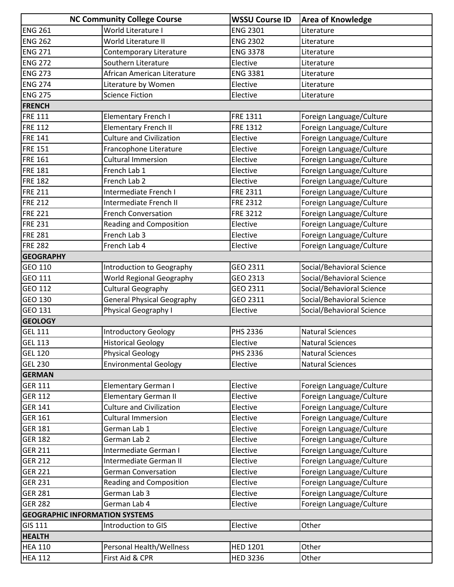|                                       | <b>NC Community College Course</b> | <b>WSSU Course ID</b> | <b>Area of Knowledge</b>  |
|---------------------------------------|------------------------------------|-----------------------|---------------------------|
| <b>ENG 261</b>                        | World Literature I                 | <b>ENG 2301</b>       | Literature                |
| <b>ENG 262</b>                        | World Literature II                | <b>ENG 2302</b>       | Literature                |
| <b>ENG 271</b>                        | Contemporary Literature            | <b>ENG 3378</b>       | Literature                |
| <b>ENG 272</b>                        | Southern Literature                | Elective              | Literature                |
| <b>ENG 273</b>                        | African American Literature        | <b>ENG 3381</b>       | Literature                |
| <b>ENG 274</b>                        | Literature by Women                | Elective              | Literature                |
| <b>ENG 275</b>                        | <b>Science Fiction</b>             | Elective              | Literature                |
| <b>FRENCH</b>                         |                                    |                       |                           |
| <b>FRE 111</b>                        | <b>Elementary French I</b>         | FRE 1311              | Foreign Language/Culture  |
| <b>FRE 112</b>                        | <b>Elementary French II</b>        | FRE 1312              | Foreign Language/Culture  |
| <b>FRE 141</b>                        | <b>Culture and Civilization</b>    | Elective              | Foreign Language/Culture  |
| <b>FRE 151</b>                        | Francophone Literature             | Elective              | Foreign Language/Culture  |
| <b>FRE 161</b>                        | <b>Cultural Immersion</b>          | Elective              | Foreign Language/Culture  |
| <b>FRE 181</b>                        | French Lab 1                       | Elective              | Foreign Language/Culture  |
| <b>FRE 182</b>                        | French Lab 2                       | Elective              | Foreign Language/Culture  |
| <b>FRE 211</b>                        | Intermediate French I              | FRE 2311              | Foreign Language/Culture  |
| <b>FRE 212</b>                        | Intermediate French II             | <b>FRE 2312</b>       | Foreign Language/Culture  |
| <b>FRE 221</b>                        | <b>French Conversation</b>         | <b>FRE 3212</b>       | Foreign Language/Culture  |
| <b>FRE 231</b>                        | Reading and Composition            | Elective              | Foreign Language/Culture  |
| <b>FRE 281</b>                        | French Lab 3                       | Elective              | Foreign Language/Culture  |
| <b>FRE 282</b>                        | French Lab 4                       | Elective              | Foreign Language/Culture  |
| <b>GEOGRAPHY</b>                      |                                    |                       |                           |
| GEO 110                               | Introduction to Geography          | GEO 2311              | Social/Behavioral Science |
| GEO 111                               | <b>World Regional Geography</b>    | GEO 2313              | Social/Behavioral Science |
| <b>GEO 112</b>                        | <b>Cultural Geography</b>          | GEO 2311              | Social/Behavioral Science |
| GEO 130                               | General Physical Geography         | GEO 2311              | Social/Behavioral Science |
| <b>GEO 131</b>                        | Physical Geography I               | Elective              | Social/Behavioral Science |
| <b>GEOLOGY</b>                        |                                    |                       |                           |
| <b>GEL 111</b>                        | <b>Introductory Geology</b>        | PHS 2336              | <b>Natural Sciences</b>   |
| <b>GEL 113</b>                        | <b>Historical Geology</b>          | Elective              | <b>Natural Sciences</b>   |
| <b>GEL 120</b>                        | <b>Physical Geology</b>            | PHS 2336              | <b>Natural Sciences</b>   |
| <b>GEL 230</b>                        | <b>Environmental Geology</b>       | Elective              | <b>Natural Sciences</b>   |
| <b>GERMAN</b>                         |                                    |                       |                           |
| <b>GER 111</b>                        | <b>Elementary German I</b>         | Elective              | Foreign Language/Culture  |
| <b>GER 112</b>                        | <b>Elementary German II</b>        | Elective              | Foreign Language/Culture  |
| <b>GER 141</b>                        | <b>Culture and Civilization</b>    | Elective              | Foreign Language/Culture  |
| <b>GER 161</b>                        | <b>Cultural Immersion</b>          | Elective              | Foreign Language/Culture  |
| <b>GER 181</b>                        | German Lab 1                       | Elective              | Foreign Language/Culture  |
| <b>GER 182</b>                        | German Lab 2                       | Elective              | Foreign Language/Culture  |
| <b>GER 211</b>                        | Intermediate German I              | Elective              | Foreign Language/Culture  |
| <b>GER 212</b>                        | Intermediate German II             | Elective              | Foreign Language/Culture  |
| <b>GER 221</b>                        | <b>German Conversation</b>         | Elective              | Foreign Language/Culture  |
| <b>GER 231</b>                        | Reading and Composition            | Elective              | Foreign Language/Culture  |
| <b>GER 281</b>                        | German Lab 3                       | Elective              | Foreign Language/Culture  |
| <b>GER 282</b>                        | German Lab 4                       | Elective              | Foreign Language/Culture  |
| <b>GEOGRAPHIC INFORMATION SYSTEMS</b> |                                    |                       |                           |
| <b>GIS 111</b>                        | Introduction to GIS                | Elective              | Other                     |
| <b>HEALTH</b>                         |                                    |                       |                           |
| <b>HEA 110</b>                        | Personal Health/Wellness           | <b>HED 1201</b>       | Other                     |
| <b>HEA 112</b>                        | First Aid & CPR                    | <b>HED 3236</b>       | Other                     |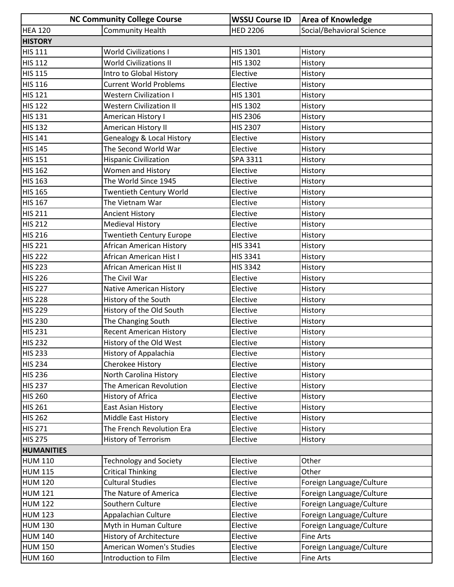|                      | <b>NC Community College Course</b>   | <b>WSSU Course ID</b> | <b>Area of Knowledge</b>  |
|----------------------|--------------------------------------|-----------------------|---------------------------|
| <b>HEA 120</b>       | <b>Community Health</b>              | <b>HED 2206</b>       | Social/Behavioral Science |
| <b>HISTORY</b>       |                                      |                       |                           |
| <b>HIS 111</b>       | <b>World Civilizations I</b>         | HIS 1301              | History                   |
| $\overline{HIS}$ 112 | <b>World Civilizations II</b>        | <b>HIS 1302</b>       | History                   |
| <b>HIS 115</b>       | Intro to Global History              | Elective              | History                   |
| <b>HIS 116</b>       | <b>Current World Problems</b>        | Elective              | History                   |
| <b>HIS 121</b>       | <b>Western Civilization I</b>        | <b>HIS 1301</b>       | History                   |
| <b>HIS 122</b>       | <b>Western Civilization II</b>       | <b>HIS 1302</b>       | History                   |
| <b>HIS 131</b>       | American History I                   | HIS 2306              | History                   |
| <b>HIS 132</b>       | American History II                  | <b>HIS 2307</b>       | History                   |
| <b>HIS 141</b>       | <b>Genealogy &amp; Local History</b> | Elective              | History                   |
| <b>HIS 145</b>       | The Second World War                 | Elective              | History                   |
| <b>HIS 151</b>       | <b>Hispanic Civilization</b>         | SPA 3311              | History                   |
| <b>HIS 162</b>       | Women and History                    | Elective              | History                   |
| <b>HIS 163</b>       | The World Since 1945                 | Elective              | History                   |
| <b>HIS 165</b>       | <b>Twentieth Century World</b>       | Elective              | History                   |
| <b>HIS 167</b>       | The Vietnam War                      | Elective              | History                   |
| <b>HIS 211</b>       | <b>Ancient History</b>               | Elective              | History                   |
| <b>HIS 212</b>       | <b>Medieval History</b>              | Elective              | History                   |
| <b>HIS 216</b>       | <b>Twentieth Century Europe</b>      | Elective              | History                   |
| <b>HIS 221</b>       | <b>African American History</b>      | HIS 3341              | History                   |
| <b>HIS 222</b>       | African American Hist I              | HIS 3341              | History                   |
| <b>HIS 223</b>       | African American Hist II             | <b>HIS 3342</b>       | History                   |
| <b>HIS 226</b>       | The Civil War                        | Elective              | History                   |
| <b>HIS 227</b>       | Native American History              | Elective              | History                   |
| <b>HIS 228</b>       | History of the South                 | Elective              | History                   |
| <b>HIS 229</b>       | History of the Old South             | Elective              | History                   |
| <b>HIS 230</b>       | The Changing South                   | Elective              | History                   |
| <b>HIS 231</b>       | <b>Recent American History</b>       | Elective              | History                   |
| <b>HIS 232</b>       | History of the Old West              | Elective              | History                   |
| <b>HIS 233</b>       | History of Appalachia                | Elective              | History                   |
| <b>HIS 234</b>       | Cherokee History                     | Elective              | History                   |
| <b>HIS 236</b>       | North Carolina History               | Elective              | History                   |
| <b>HIS 237</b>       | The American Revolution              | Elective              | History                   |
| <b>HIS 260</b>       | History of Africa                    | Elective              | History                   |
| <b>HIS 261</b>       | East Asian History                   | Elective              | History                   |
| <b>HIS 262</b>       | Middle East History                  | Elective              | History                   |
| <b>HIS 271</b>       | The French Revolution Era            | Elective              | History                   |
| <b>HIS 275</b>       | <b>History of Terrorism</b>          | Elective              | History                   |
| <b>HUMANITIES</b>    |                                      |                       |                           |
| <b>HUM 110</b>       | <b>Technology and Society</b>        | Elective              | Other                     |
| <b>HUM 115</b>       | <b>Critical Thinking</b>             | Elective              | Other                     |
| <b>HUM 120</b>       | <b>Cultural Studies</b>              | Elective              | Foreign Language/Culture  |
| <b>HUM 121</b>       | The Nature of America                | Elective              | Foreign Language/Culture  |
| <b>HUM 122</b>       | Southern Culture                     | Elective              | Foreign Language/Culture  |
| <b>HUM 123</b>       | Appalachian Culture                  | Elective              | Foreign Language/Culture  |
| <b>HUM 130</b>       | Myth in Human Culture                | Elective              | Foreign Language/Culture  |
| <b>HUM 140</b>       | History of Architecture              | Elective              | <b>Fine Arts</b>          |
| <b>HUM 150</b>       | American Women's Studies             | Elective              | Foreign Language/Culture  |
| <b>HUM 160</b>       | Introduction to Film                 | Elective              | <b>Fine Arts</b>          |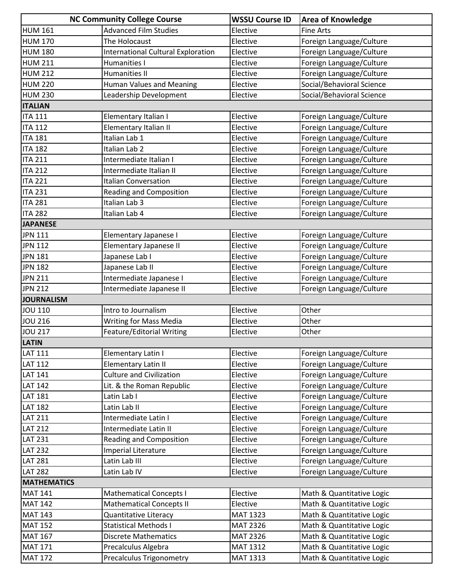|                    | <b>NC Community College Course</b> | <b>WSSU Course ID</b> | <b>Area of Knowledge</b>  |
|--------------------|------------------------------------|-----------------------|---------------------------|
| <b>HUM 161</b>     | <b>Advanced Film Studies</b>       | Elective              | <b>Fine Arts</b>          |
| <b>HUM 170</b>     | The Holocaust                      | Elective              | Foreign Language/Culture  |
| <b>HUM 180</b>     | International Cultural Exploration | Elective              | Foreign Language/Culture  |
| <b>HUM 211</b>     | <b>Humanities I</b>                | Elective              | Foreign Language/Culture  |
| <b>HUM 212</b>     | Humanities II                      | Elective              | Foreign Language/Culture  |
| <b>HUM 220</b>     | <b>Human Values and Meaning</b>    | Elective              | Social/Behavioral Science |
| <b>HUM 230</b>     | Leadership Development             | Elective              | Social/Behavioral Science |
| <b>ITALIAN</b>     |                                    |                       |                           |
| <b>ITA 111</b>     | Elementary Italian I               | Elective              | Foreign Language/Culture  |
| <b>ITA 112</b>     | Elementary Italian II              | Elective              | Foreign Language/Culture  |
| <b>ITA 181</b>     | Italian Lab 1                      | Elective              | Foreign Language/Culture  |
| <b>ITA 182</b>     | Italian Lab 2                      | Elective              | Foreign Language/Culture  |
| <b>ITA 211</b>     | Intermediate Italian I             | Elective              | Foreign Language/Culture  |
| <b>ITA 212</b>     | Intermediate Italian II            | Elective              | Foreign Language/Culture  |
| <b>ITA 221</b>     | <b>Italian Conversation</b>        | Elective              | Foreign Language/Culture  |
| <b>ITA 231</b>     | <b>Reading and Composition</b>     | Elective              | Foreign Language/Culture  |
| <b>ITA 281</b>     | Italian Lab 3                      | Elective              | Foreign Language/Culture  |
| <b>ITA 282</b>     | Italian Lab 4                      | Elective              | Foreign Language/Culture  |
| <b>JAPANESE</b>    |                                    |                       |                           |
| <b>JPN 111</b>     | Elementary Japanese I              | Elective              | Foreign Language/Culture  |
| <b>JPN 112</b>     | Elementary Japanese II             | Elective              | Foreign Language/Culture  |
| <b>JPN 181</b>     | Japanese Lab I                     | Elective              | Foreign Language/Culture  |
| <b>JPN 182</b>     | Japanese Lab II                    | Elective              | Foreign Language/Culture  |
| <b>JPN 211</b>     | Intermediate Japanese I            | Elective              | Foreign Language/Culture  |
| <b>JPN 212</b>     | Intermediate Japanese II           | Elective              | Foreign Language/Culture  |
| <b>JOURNALISM</b>  |                                    |                       |                           |
| <b>JOU 110</b>     | Intro to Journalism                | Elective              | Other                     |
| <b>JOU 216</b>     | <b>Writing for Mass Media</b>      | Elective              | Other                     |
| <b>JOU 217</b>     | Feature/Editorial Writing          | Elective              | Other                     |
| <b>LATIN</b>       |                                    |                       |                           |
| <b>LAT 111</b>     | Elementary Latin I                 | Elective              | Foreign Language/Culture  |
| <b>LAT 112</b>     | <b>Elementary Latin II</b>         | Elective              | Foreign Language/Culture  |
| <b>LAT 141</b>     | <b>Culture and Civilization</b>    | Elective              | Foreign Language/Culture  |
| <b>LAT 142</b>     | Lit. & the Roman Republic          | Elective              | Foreign Language/Culture  |
| <b>LAT 181</b>     | Latin Lab I                        | Elective              | Foreign Language/Culture  |
| <b>LAT 182</b>     | Latin Lab II                       | Elective              | Foreign Language/Culture  |
| <b>LAT 211</b>     | Intermediate Latin I               | Elective              | Foreign Language/Culture  |
| <b>LAT 212</b>     | Intermediate Latin II              | Elective              | Foreign Language/Culture  |
| <b>LAT 231</b>     | <b>Reading and Composition</b>     | Elective              | Foreign Language/Culture  |
| <b>LAT 232</b>     | Imperial Literature                | Elective              | Foreign Language/Culture  |
| <b>LAT 281</b>     | Latin Lab III                      | Elective              | Foreign Language/Culture  |
| <b>LAT 282</b>     | Latin Lab IV                       | Elective              | Foreign Language/Culture  |
| <b>MATHEMATICS</b> |                                    |                       |                           |
| <b>MAT 141</b>     | <b>Mathematical Concepts I</b>     | Elective              | Math & Quantitative Logic |
| <b>MAT 142</b>     | <b>Mathematical Concepts II</b>    | Elective              | Math & Quantitative Logic |
| <b>MAT 143</b>     | <b>Quantitative Literacy</b>       | MAT 1323              | Math & Quantitative Logic |
| <b>MAT 152</b>     | <b>Statistical Methods I</b>       | <b>MAT 2326</b>       | Math & Quantitative Logic |
| <b>MAT 167</b>     | <b>Discrete Mathematics</b>        | MAT 2326              | Math & Quantitative Logic |
| <b>MAT 171</b>     | Precalculus Algebra                | MAT 1312              | Math & Quantitative Logic |
| <b>MAT 172</b>     | <b>Precalculus Trigonometry</b>    | MAT 1313              | Math & Quantitative Logic |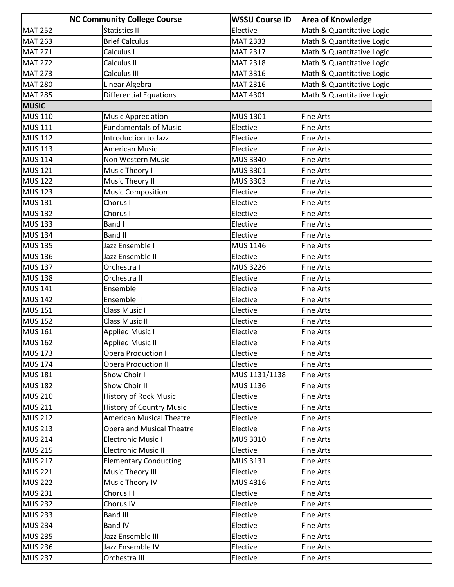|                | <b>NC Community College Course</b> | <b>WSSU Course ID</b> | <b>Area of Knowledge</b>  |
|----------------|------------------------------------|-----------------------|---------------------------|
| <b>MAT 252</b> | <b>Statistics II</b>               | Elective              | Math & Quantitative Logic |
| <b>MAT 263</b> | <b>Brief Calculus</b>              | <b>MAT 2333</b>       | Math & Quantitative Logic |
| <b>MAT 271</b> | Calculus I                         | MAT 2317              | Math & Quantitative Logic |
| <b>MAT 272</b> | Calculus II                        | <b>MAT 2318</b>       | Math & Quantitative Logic |
| <b>MAT 273</b> | Calculus III                       | MAT 3316              | Math & Quantitative Logic |
| <b>MAT 280</b> | Linear Algebra                     | MAT 2316              | Math & Quantitative Logic |
| <b>MAT 285</b> | <b>Differential Equations</b>      | MAT 4301              | Math & Quantitative Logic |
| <b>MUSIC</b>   |                                    |                       |                           |
| <b>MUS 110</b> | <b>Music Appreciation</b>          | MUS 1301              | <b>Fine Arts</b>          |
| <b>MUS 111</b> | <b>Fundamentals of Music</b>       | Elective              | <b>Fine Arts</b>          |
| <b>MUS 112</b> | Introduction to Jazz               | Elective              | <b>Fine Arts</b>          |
| <b>MUS 113</b> | American Music                     | Elective              | <b>Fine Arts</b>          |
| <b>MUS 114</b> | Non Western Music                  | MUS 3340              | <b>Fine Arts</b>          |
| <b>MUS 121</b> | Music Theory I                     | <b>MUS 3301</b>       | <b>Fine Arts</b>          |
| <b>MUS 122</b> | Music Theory II                    | MUS 3303              | <b>Fine Arts</b>          |
| <b>MUS 123</b> | <b>Music Composition</b>           | Elective              | <b>Fine Arts</b>          |
| <b>MUS 131</b> | Chorus I                           | Elective              | <b>Fine Arts</b>          |
| <b>MUS 132</b> | Chorus II                          | Elective              | <b>Fine Arts</b>          |
| <b>MUS 133</b> | Band I                             | Elective              | <b>Fine Arts</b>          |
| <b>MUS 134</b> | <b>Band II</b>                     | Elective              | <b>Fine Arts</b>          |
| <b>MUS 135</b> | Jazz Ensemble I                    | MUS 1146              | <b>Fine Arts</b>          |
| <b>MUS 136</b> | Jazz Ensemble II                   | Elective              | <b>Fine Arts</b>          |
| <b>MUS 137</b> | Orchestra I                        | <b>MUS 3226</b>       | <b>Fine Arts</b>          |
| <b>MUS 138</b> | Orchestra II                       | Elective              | <b>Fine Arts</b>          |
| <b>MUS 141</b> | Ensemble I                         | Elective              | <b>Fine Arts</b>          |
| <b>MUS 142</b> | Ensemble II                        | Elective              | <b>Fine Arts</b>          |
| <b>MUS 151</b> | Class Music I                      | Elective              | <b>Fine Arts</b>          |
| <b>MUS 152</b> | <b>Class Music II</b>              | Elective              | <b>Fine Arts</b>          |
| <b>MUS 161</b> | <b>Applied Music I</b>             | Elective              | <b>Fine Arts</b>          |
| <b>MUS 162</b> | <b>Applied Music II</b>            | Elective              | <b>Fine Arts</b>          |
| <b>MUS 173</b> | <b>Opera Production I</b>          | Elective              | Fine Arts                 |
| <b>MUS 174</b> | <b>Opera Production II</b>         | Elective              | <b>Fine Arts</b>          |
| <b>MUS 181</b> | Show Choir I                       | MUS 1131/1138         | <b>Fine Arts</b>          |
| <b>MUS 182</b> | Show Choir II                      | MUS 1136              | Fine Arts                 |
| <b>MUS 210</b> | <b>History of Rock Music</b>       | Elective              | <b>Fine Arts</b>          |
| <b>MUS 211</b> | <b>History of Country Music</b>    | Elective              | Fine Arts                 |
| <b>MUS 212</b> | <b>American Musical Theatre</b>    | Elective              | <b>Fine Arts</b>          |
| <b>MUS 213</b> | Opera and Musical Theatre          | Elective              | <b>Fine Arts</b>          |
| <b>MUS 214</b> | <b>Electronic Music I</b>          | MUS 3310              | Fine Arts                 |
| <b>MUS 215</b> | <b>Electronic Music II</b>         | Elective              | <b>Fine Arts</b>          |
| <b>MUS 217</b> | <b>Elementary Conducting</b>       | MUS 3131              | Fine Arts                 |
| <b>MUS 221</b> | Music Theory III                   | Elective              | <b>Fine Arts</b>          |
| <b>MUS 222</b> | Music Theory IV                    | MUS 4316              | Fine Arts                 |
| <b>MUS 231</b> | Chorus III                         | Elective              | <b>Fine Arts</b>          |
| <b>MUS 232</b> | Chorus IV                          | Elective              | <b>Fine Arts</b>          |
| <b>MUS 233</b> | <b>Band III</b>                    | Elective              | Fine Arts                 |
| <b>MUS 234</b> | <b>Band IV</b>                     | Elective              | <b>Fine Arts</b>          |
| <b>MUS 235</b> | Jazz Ensemble III                  | Elective              | Fine Arts                 |
| <b>MUS 236</b> | Jazz Ensemble IV                   | Elective              | Fine Arts                 |
| <b>MUS 237</b> | Orchestra III                      | Elective              | Fine Arts                 |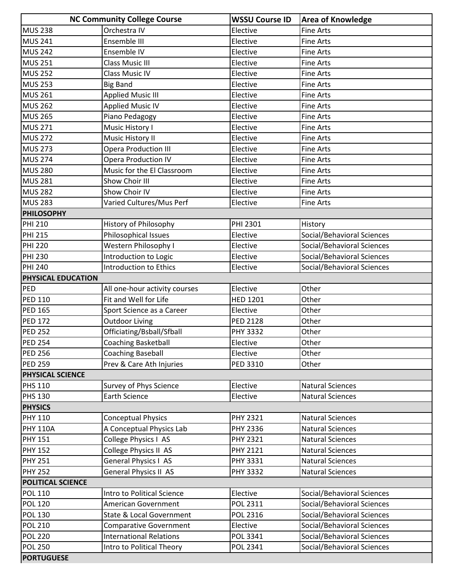|                           | <b>NC Community College Course</b>  | <b>WSSU Course ID</b> | <b>Area of Knowledge</b>   |
|---------------------------|-------------------------------------|-----------------------|----------------------------|
| <b>MUS 238</b>            | Orchestra IV                        | Elective              | <b>Fine Arts</b>           |
| <b>MUS 241</b>            | Ensemble III                        | Elective              | <b>Fine Arts</b>           |
| <b>MUS 242</b>            | Ensemble IV                         | Elective              | <b>Fine Arts</b>           |
| <b>MUS 251</b>            | <b>Class Music III</b>              | Elective              | <b>Fine Arts</b>           |
| <b>MUS 252</b>            | <b>Class Music IV</b>               | Elective              | <b>Fine Arts</b>           |
| <b>MUS 253</b>            | <b>Big Band</b>                     | Elective              | <b>Fine Arts</b>           |
| <b>MUS 261</b>            | <b>Applied Music III</b>            | Elective              | <b>Fine Arts</b>           |
| <b>MUS 262</b>            | <b>Applied Music IV</b>             | Elective              | <b>Fine Arts</b>           |
| <b>MUS 265</b>            | Piano Pedagogy                      | Elective              | <b>Fine Arts</b>           |
| <b>MUS 271</b>            | Music History I                     | Elective              | Fine Arts                  |
| <b>MUS 272</b>            | Music History II                    | Elective              | <b>Fine Arts</b>           |
| <b>MUS 273</b>            | <b>Opera Production III</b>         | Elective              | <b>Fine Arts</b>           |
| <b>MUS 274</b>            | <b>Opera Production IV</b>          | Elective              | <b>Fine Arts</b>           |
| <b>MUS 280</b>            | Music for the El Classroom          | Elective              | <b>Fine Arts</b>           |
| <b>MUS 281</b>            | Show Choir III                      | Elective              | <b>Fine Arts</b>           |
| <b>MUS 282</b>            | Show Choir IV                       | Elective              | <b>Fine Arts</b>           |
| <b>MUS 283</b>            | Varied Cultures/Mus Perf            | Elective              | <b>Fine Arts</b>           |
| <b>PHILOSOPHY</b>         |                                     |                       |                            |
| <b>PHI 210</b>            | History of Philosophy               | PHI 2301              | History                    |
| <b>PHI 215</b>            | Philosophical Issues                | Elective              | Social/Behavioral Sciences |
| <b>PHI 220</b>            | Western Philosophy I                | Elective              | Social/Behavioral Sciences |
| <b>PHI 230</b>            | Introduction to Logic               | Elective              | Social/Behavioral Sciences |
| <b>PHI 240</b>            | Introduction to Ethics              | Elective              | Social/Behavioral Sciences |
| <b>PHYSICAL EDUCATION</b> |                                     |                       |                            |
| PED                       | All one-hour activity courses       | Elective              | Other                      |
| <b>PED 110</b>            | Fit and Well for Life               | <b>HED 1201</b>       | Other                      |
| <b>PED 165</b>            | Sport Science as a Career           | Elective              | Other                      |
| <b>PED 172</b>            | <b>Outdoor Living</b>               | <b>PED 2128</b>       | Other                      |
| <b>PED 252</b>            | Officiating/Bsball/Sfball           | <b>PHY 3332</b>       | Other                      |
| <b>PED 254</b>            | <b>Coaching Basketball</b>          | Elective              | Other                      |
| <b>PED 256</b>            | <b>Coaching Baseball</b>            | Elective              | Other                      |
| <b>PED 259</b>            | Prev & Care Ath Injuries            | PED 3310              | Other                      |
| <b>PHYSICAL SCIENCE</b>   |                                     |                       |                            |
| <b>PHS 110</b>            | Survey of Phys Science              | Elective              | <b>Natural Sciences</b>    |
| <b>PHS 130</b>            | <b>Earth Science</b>                | Elective              | <b>Natural Sciences</b>    |
| <b>PHYSICS</b>            |                                     |                       |                            |
| <b>PHY 110</b>            | <b>Conceptual Physics</b>           | PHY 2321              | <b>Natural Sciences</b>    |
| <b>PHY 110A</b>           | A Conceptual Physics Lab            | PHY 2336              | <b>Natural Sciences</b>    |
| <b>PHY 151</b>            | College Physics I AS                | PHY 2321              | <b>Natural Sciences</b>    |
| <b>PHY 152</b>            | College Physics II AS               | PHY 2121              | <b>Natural Sciences</b>    |
| <b>PHY 251</b>            | General Physics I AS                | PHY 3331              | <b>Natural Sciences</b>    |
| <b>PHY 252</b>            | General Physics II AS               | PHY 3332              | <b>Natural Sciences</b>    |
| <b>POLITICAL SCIENCE</b>  |                                     |                       |                            |
| <b>POL 110</b>            | Intro to Political Science          | Elective              | Social/Behavioral Sciences |
| <b>POL 120</b>            | American Government                 | POL 2311              | Social/Behavioral Sciences |
| <b>POL 130</b>            | <b>State &amp; Local Government</b> | POL 2316              | Social/Behavioral Sciences |
| <b>POL 210</b>            | <b>Comparative Government</b>       | Elective              | Social/Behavioral Sciences |
| <b>POL 220</b>            | <b>International Relations</b>      | POL 3341              | Social/Behavioral Sciences |
| <b>POL 250</b>            | Intro to Political Theory           | POL 2341              | Social/Behavioral Sciences |
| <b>PORTUGUESE</b>         |                                     |                       |                            |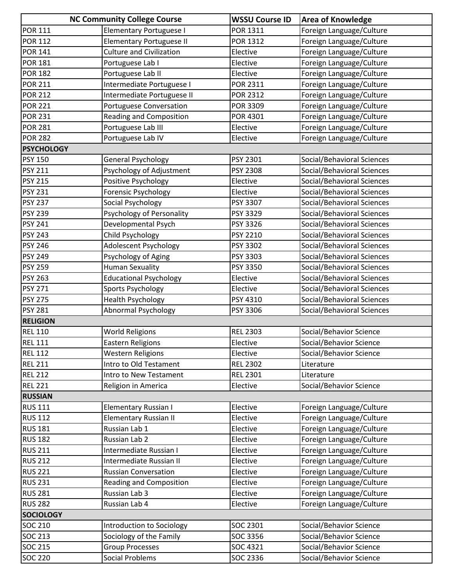|                   | <b>NC Community College Course</b> | <b>WSSU Course ID</b> | <b>Area of Knowledge</b>   |
|-------------------|------------------------------------|-----------------------|----------------------------|
| <b>POR 111</b>    | <b>Elementary Portuguese I</b>     | POR 1311              | Foreign Language/Culture   |
| <b>POR 112</b>    | <b>Elementary Portuguese II</b>    | POR 1312              | Foreign Language/Culture   |
| <b>POR 141</b>    | <b>Culture and Civilization</b>    | Elective              | Foreign Language/Culture   |
| <b>POR 181</b>    | Portuguese Lab I                   | Elective              | Foreign Language/Culture   |
| <b>POR 182</b>    | Portuguese Lab II                  | Elective              | Foreign Language/Culture   |
| <b>POR 211</b>    | Intermediate Portuguese I          | POR 2311              | Foreign Language/Culture   |
| <b>POR 212</b>    | Intermediate Portuguese II         | <b>POR 2312</b>       | Foreign Language/Culture   |
| <b>POR 221</b>    | Portuguese Conversation            | POR 3309              | Foreign Language/Culture   |
| <b>POR 231</b>    | <b>Reading and Composition</b>     | POR 4301              | Foreign Language/Culture   |
| <b>POR 281</b>    | Portuguese Lab III                 | Elective              | Foreign Language/Culture   |
| <b>POR 282</b>    | Portuguese Lab IV                  | Elective              | Foreign Language/Culture   |
| <b>PSYCHOLOGY</b> |                                    |                       |                            |
| <b>PSY 150</b>    | <b>General Psychology</b>          | PSY 2301              | Social/Behavioral Sciences |
| <b>PSY 211</b>    | Psychology of Adjustment           | PSY 2308              | Social/Behavioral Sciences |
| <b>PSY 215</b>    | Positive Psychology                | Elective              | Social/Behavioral Sciences |
| <b>PSY 231</b>    | Forensic Psychology                | Elective              | Social/Behavioral Sciences |
| <b>PSY 237</b>    | Social Psychology                  | PSY 3307              | Social/Behavioral Sciences |
| <b>PSY 239</b>    | Psychology of Personality          | PSY 3329              | Social/Behavioral Sciences |
| <b>PSY 241</b>    | Developmental Psych                | PSY 3326              | Social/Behavioral Sciences |
| <b>PSY 243</b>    | Child Psychology                   | PSY 2210              | Social/Behavioral Sciences |
| <b>PSY 246</b>    | Adolescent Psychology              | PSY 3302              | Social/Behavioral Sciences |
| <b>PSY 249</b>    | Psychology of Aging                | PSY 3303              | Social/Behavioral Sciences |
| <b>PSY 259</b>    | <b>Human Sexuality</b>             | PSY 3350              | Social/Behavioral Sciences |
| <b>PSY 263</b>    | <b>Educational Psychology</b>      | Elective              | Social/Behavioral Sciences |
| <b>PSY 271</b>    | Sports Psychology                  | Elective              | Social/Behavioral Sciences |
| <b>PSY 275</b>    | <b>Health Psychology</b>           | PSY 4310              | Social/Behavioral Sciences |
| <b>PSY 281</b>    | <b>Abnormal Psychology</b>         | PSY 3306              | Social/Behavioral Sciences |
| <b>RELIGION</b>   |                                    |                       |                            |
| <b>REL 110</b>    | <b>World Religions</b>             | <b>REL 2303</b>       | Social/Behavior Science    |
| <b>REL 111</b>    | <b>Eastern Religions</b>           | Elective              | Social/Behavior Science    |
| <b>REL 112</b>    | <b>Western Religions</b>           | Elective              | Social/Behavior Science    |
| <b>REL 211</b>    | Intro to Old Testament             | <b>REL 2302</b>       | Literature                 |
| <b>REL 212</b>    | Intro to New Testament             | <b>REL 2301</b>       | Literature                 |
| <b>REL 221</b>    | Religion in America                | Elective              | Social/Behavior Science    |
| <b>RUSSIAN</b>    |                                    |                       |                            |
| <b>RUS 111</b>    | <b>Elementary Russian I</b>        | Elective              | Foreign Language/Culture   |
| <b>RUS 112</b>    | <b>Elementary Russian II</b>       | Elective              | Foreign Language/Culture   |
| <b>RUS 181</b>    | Russian Lab 1                      | Elective              | Foreign Language/Culture   |
| <b>RUS 182</b>    | Russian Lab 2                      | Elective              | Foreign Language/Culture   |
| <b>RUS 211</b>    | Intermediate Russian I             | Elective              | Foreign Language/Culture   |
| <b>RUS 212</b>    | Intermediate Russian II            | Elective              | Foreign Language/Culture   |
| <b>RUS 221</b>    | <b>Russian Conversation</b>        | Elective              | Foreign Language/Culture   |
| <b>RUS 231</b>    | <b>Reading and Composition</b>     | Elective              | Foreign Language/Culture   |
| <b>RUS 281</b>    | Russian Lab 3                      | Elective              | Foreign Language/Culture   |
| <b>RUS 282</b>    | Russian Lab 4                      | Elective              | Foreign Language/Culture   |
| <b>SOCIOLOGY</b>  |                                    |                       |                            |
| <b>SOC 210</b>    | Introduction to Sociology          | SOC 2301              | Social/Behavior Science    |
| <b>SOC 213</b>    | Sociology of the Family            | SOC 3356              | Social/Behavior Science    |
| <b>SOC 215</b>    | <b>Group Processes</b>             | SOC 4321              | Social/Behavior Science    |
| <b>SOC 220</b>    | <b>Social Problems</b>             | SOC 2336              | Social/Behavior Science    |